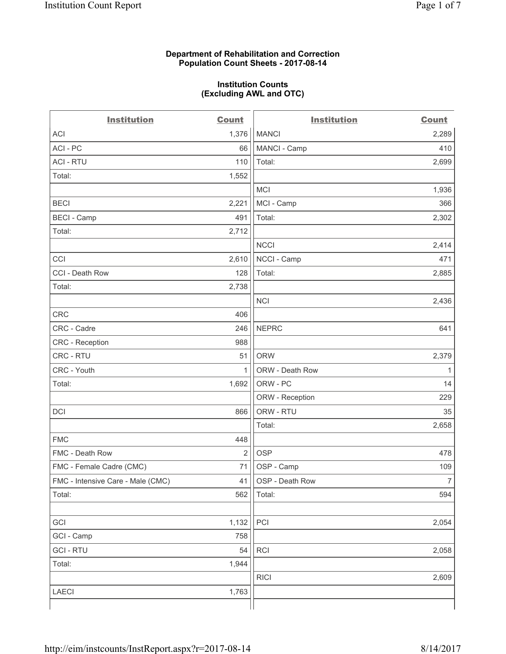### **Department of Rehabilitation and Correction Population Count Sheets - 2017-08-14**

#### **Institution Counts (Excluding AWL and OTC)**

 $-$ 

| <b>Institution</b>                | <b>Count</b> | <b>Institution</b> | <b>Count</b>   |
|-----------------------------------|--------------|--------------------|----------------|
| <b>ACI</b>                        | 1,376        | <b>MANCI</b>       | 2,289          |
| ACI-PC                            | 66           | MANCI - Camp       | 410            |
| <b>ACI - RTU</b>                  | 110          | Total:             | 2,699          |
| Total:                            | 1,552        |                    |                |
|                                   |              | <b>MCI</b>         | 1,936          |
| <b>BECI</b>                       | 2,221        | MCI - Camp         | 366            |
| <b>BECI - Camp</b>                | 491          | Total:             | 2,302          |
| Total:                            | 2,712        |                    |                |
|                                   |              | <b>NCCI</b>        | 2,414          |
| CCI                               | 2,610        | NCCI - Camp        | 471            |
| CCI - Death Row                   | 128          | Total:             | 2,885          |
| Total:                            | 2,738        |                    |                |
|                                   |              | <b>NCI</b>         | 2,436          |
| <b>CRC</b>                        | 406          |                    |                |
| CRC - Cadre                       | 246          | <b>NEPRC</b>       | 641            |
| <b>CRC</b> - Reception            | 988          |                    |                |
| CRC - RTU                         | 51           | <b>ORW</b>         | 2,379          |
| CRC - Youth                       | 1            | ORW - Death Row    | 1              |
| Total:                            | 1,692        | ORW - PC           | 14             |
|                                   |              | ORW - Reception    | 229            |
| DCI                               | 866          | ORW - RTU          | 35             |
|                                   |              | Total:             | 2,658          |
| <b>FMC</b>                        | 448          |                    |                |
| FMC - Death Row                   | 2            | <b>OSP</b>         | 478            |
| FMC - Female Cadre (CMC)          | 71           | OSP - Camp         | 109            |
| FMC - Intensive Care - Male (CMC) | 41           | OSP - Death Row    | $\overline{7}$ |
| Total:                            | 562          | Total:             | 594            |
|                                   |              |                    |                |
| GCI                               | 1,132        | PCI                | 2,054          |
| GCI - Camp                        | 758          |                    |                |
| <b>GCI - RTU</b>                  | 54           | <b>RCI</b>         | 2,058          |
| Total:                            | 1,944        |                    |                |
|                                   |              | <b>RICI</b>        | 2,609          |
| LAECI                             | 1,763        |                    |                |
|                                   |              |                    |                |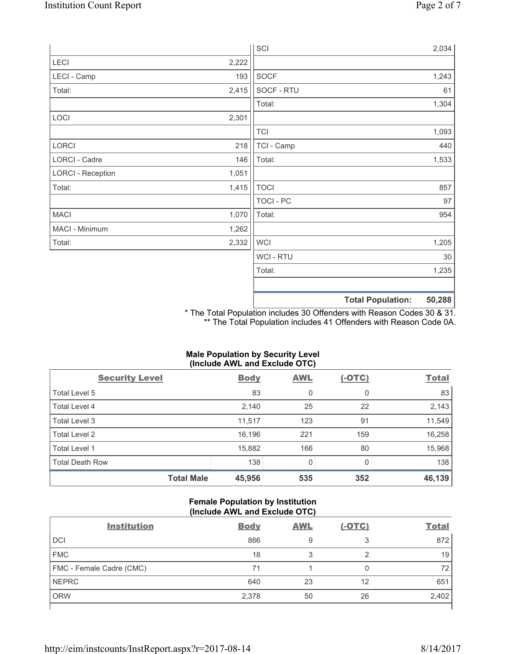|                          |       | SCI              |                          | 2,034  |
|--------------------------|-------|------------------|--------------------------|--------|
| LECI                     | 2,222 |                  |                          |        |
| LECI - Camp              | 193   | SOCF             |                          | 1,243  |
| Total:                   | 2,415 | SOCF - RTU       |                          | 61     |
|                          |       | Total:           |                          | 1,304  |
| LOCI                     | 2,301 |                  |                          |        |
|                          |       | <b>TCI</b>       |                          | 1,093  |
| LORCI                    | 218   | TCI - Camp       |                          | 440    |
| LORCI - Cadre            | 146   | Total:           |                          | 1,533  |
| <b>LORCI - Reception</b> | 1,051 |                  |                          |        |
| Total:                   | 1,415 | <b>TOCI</b>      |                          | 857    |
|                          |       | <b>TOCI - PC</b> |                          | 97     |
| <b>MACI</b>              | 1,070 | Total:           |                          | 954    |
| MACI - Minimum           | 1,262 |                  |                          |        |
| Total:                   | 2,332 | <b>WCI</b>       |                          | 1,205  |
|                          |       | <b>WCI-RTU</b>   |                          | 30     |
|                          |       | Total:           |                          | 1,235  |
|                          |       |                  |                          |        |
|                          |       |                  | <b>Total Population:</b> | 50,288 |

\* The Total Population includes 30 Offenders with Reason Codes 30 & 31. \*\* The Total Population includes 41 Offenders with Reason Code 0A.

# **Male Population by Security Level (Include AWL and Exclude OTC)**

| $\cdot$<br><b>Security Level</b> | <b>Body</b> | . .<br><b>AWL</b> | $(-OTC)$ | <b>Total</b> |
|----------------------------------|-------------|-------------------|----------|--------------|
| Total Level 5                    | 83          | 0                 | 0        | 83           |
| <b>Total Level 4</b>             | 2,140       | 25                | 22       | 2,143        |
| Total Level 3                    | 11,517      | 123               | 91       | 11,549       |
| Total Level 2                    | 16,196      | 221               | 159      | 16,258       |
| <b>Total Level 1</b>             | 15,882      | 166               | 80       | 15,968       |
| <b>Total Death Row</b>           | 138         | $\mathbf 0$       |          | 138          |
| <b>Total Male</b>                | 45,956      | 535               | 352      | 46,139       |

## **Female Population by Institution (Include AWL and Exclude OTC)**

| <b>Institution</b>       | <b>Body</b> | <b>AWL</b> | <u>(-OTC)</u> | <b>Total</b> |
|--------------------------|-------------|------------|---------------|--------------|
| <b>DCI</b>               | 866         | 9          | 3             | 872          |
| <b>FMC</b>               | 18          | 3          |               | 19           |
| FMC - Female Cadre (CMC) | 71          |            |               | 72           |
| <b>NEPRC</b>             | 640         | 23         | 12            | 651          |
| <b>ORW</b>               | 2,378       | 50         | 26            | 2,402        |
|                          |             |            |               |              |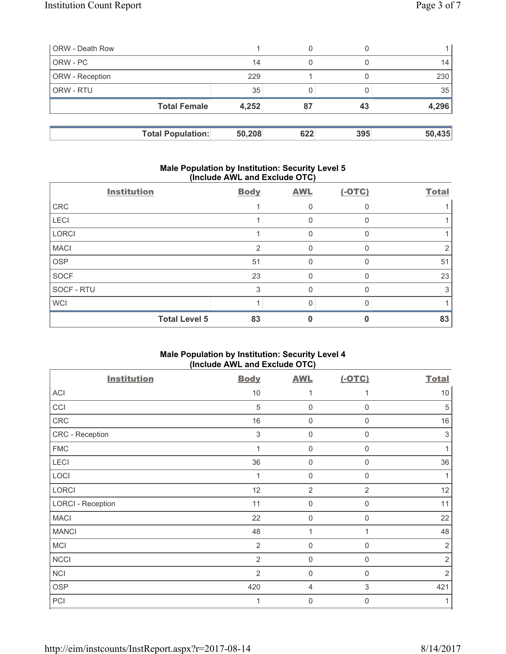| <b>ORW</b> - Death Row |                          |        |     |     |        |
|------------------------|--------------------------|--------|-----|-----|--------|
| ORW - PC               |                          | 14     | 0   |     | 14     |
| ORW - Reception        |                          | 229    |     |     | 230    |
| <b>ORW - RTU</b>       |                          | 35     |     |     | 35     |
|                        | <b>Total Female</b>      | 4,252  | 87  | 43  | 4,296  |
|                        |                          |        |     |     |        |
|                        | <b>Total Population:</b> | 50,208 | 622 | 395 | 50,435 |

## **Male Population by Institution: Security Level 5 (Include AWL and Exclude OTC)**

|              | <b>Institution</b>   | <b>Body</b> | <b>AWL</b> | $(-OTC)$ | <b>Total</b> |
|--------------|----------------------|-------------|------------|----------|--------------|
| CRC          |                      |             | 0          |          |              |
| <b>LECI</b>  |                      |             | 0          |          |              |
| <b>LORCI</b> |                      |             | $\Omega$   |          |              |
| <b>MACI</b>  |                      | 2           | 0          |          |              |
| <b>OSP</b>   |                      | 51          | $\Omega$   |          | 51           |
| <b>SOCF</b>  |                      | 23          | 0          | $\Omega$ | 23           |
| SOCF - RTU   |                      | 3           | 0          |          | 3            |
| <b>WCI</b>   |                      |             | 0          |          |              |
|              | <b>Total Level 5</b> | 83          |            |          | 83           |

# **Male Population by Institution: Security Level 4 (Include AWL and Exclude OTC)**

| <b>Institution</b>       | <b>Body</b>    | <b>AWL</b>     | $(-OTC)$       | <b>Total</b>              |
|--------------------------|----------------|----------------|----------------|---------------------------|
| <b>ACI</b>               | 10             | 1              |                | $10$                      |
| CCI                      | 5              | $\mathbf 0$    | $\mathbf 0$    | 5                         |
| CRC                      | 16             | $\mathbf 0$    | $\mathbf 0$    | 16                        |
| CRC - Reception          | 3              | $\mathbf 0$    | $\mathbf 0$    | $\ensuremath{\mathsf{3}}$ |
| <b>FMC</b>               | $\mathbf 1$    | $\mathbf 0$    | $\Omega$       |                           |
| LECI                     | 36             | $\mathsf 0$    | $\mathbf 0$    | 36                        |
| LOCI                     | $\mathbf 1$    | $\mathbf 0$    | $\mathbf 0$    | 1                         |
| <b>LORCI</b>             | 12             | $\overline{2}$ | $\overline{2}$ | 12                        |
| <b>LORCI - Reception</b> | 11             | $\mathbf 0$    | $\mathbf 0$    | 11                        |
| <b>MACI</b>              | 22             | 0              | $\Omega$       | 22                        |
| <b>MANCI</b>             | 48             | 1              | 1              | 48                        |
| <b>MCI</b>               | $\overline{2}$ | $\mathbf 0$    | $\mathbf 0$    | 2                         |
| <b>NCCI</b>              | 2              | $\mathbf 0$    | $\mathsf 0$    | $\overline{2}$            |
| <b>NCI</b>               | $\overline{2}$ | 0              | $\Omega$       | $\overline{2}$            |
| <b>OSP</b>               | 420            | 4              | 3              | 421                       |
| PCI                      | 1              | 0              | $\mathbf 0$    | 1                         |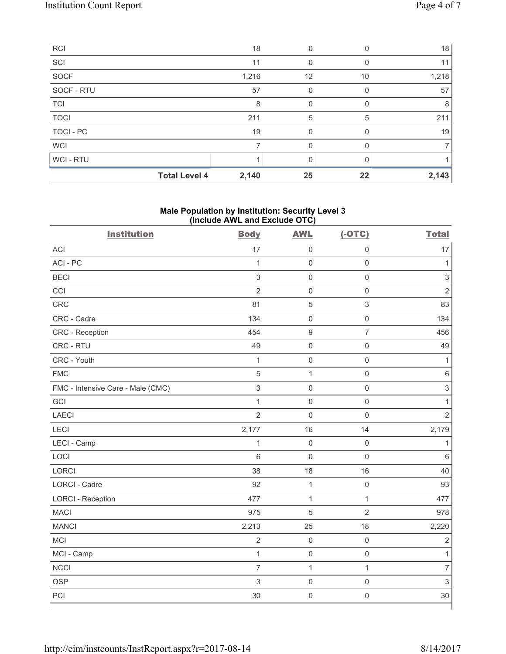| <b>RCI</b>       |                      | 18    |          |    | 18    |
|------------------|----------------------|-------|----------|----|-------|
| SCI              |                      | 11    | 0        | O  | 11    |
| SOCF             |                      | 1,216 | 12       | 10 | 1,218 |
| SOCF - RTU       |                      | 57    | 0        |    | 57    |
| <b>TCI</b>       |                      | 8     | $\Omega$ |    | 8     |
| <b>TOCI</b>      |                      | 211   | 5        | 5  | 211   |
| <b>TOCI - PC</b> |                      | 19    | 0        |    | 19    |
| <b>WCI</b>       |                      | 7     | 0        |    |       |
| <b>WCI-RTU</b>   |                      |       | $\Omega$ |    |       |
|                  | <b>Total Level 4</b> | 2,140 | 25       | 22 | 2,143 |

# **Male Population by Institution: Security Level 3 (Include AWL and Exclude OTC)**

| <b>Institution</b>                | <b>Body</b>    | <b>AWL</b>          | $(-OTC)$            | <b>Total</b>   |
|-----------------------------------|----------------|---------------------|---------------------|----------------|
| <b>ACI</b>                        | 17             | $\mathsf{O}\xspace$ | $\mathbf 0$         | 17             |
| ACI-PC                            | $\mathbf{1}$   | $\mathbf 0$         | $\mathsf 0$         | $\mathbf{1}$   |
| <b>BECI</b>                       | $\mathfrak{S}$ | $\mathsf 0$         | $\mathsf 0$         | $\,$ 3 $\,$    |
| CCI                               | $\overline{2}$ | $\mathsf 0$         | $\mathsf{O}\xspace$ | $\overline{2}$ |
| CRC                               | 81             | $\overline{5}$      | $\mathsf 3$         | 83             |
| CRC - Cadre                       | 134            | $\mathbf 0$         | $\mathbf 0$         | 134            |
| CRC - Reception                   | 454            | $\mathsf g$         | $\overline{7}$      | 456            |
| CRC - RTU                         | 49             | $\mathsf{O}\xspace$ | $\mathsf{O}\xspace$ | 49             |
| CRC - Youth                       | $\mathbf{1}$   | $\mathsf{O}\xspace$ | $\mathsf{O}\xspace$ | 1              |
| <b>FMC</b>                        | 5              | $\mathbf{1}$        | $\mathbf 0$         | $\,6$          |
| FMC - Intensive Care - Male (CMC) | $\mathfrak{S}$ | $\mathbf 0$         | $\mathbf 0$         | $\mathsf 3$    |
| GCI                               | $\mathbf{1}$   | $\mathsf 0$         | $\mathsf{O}\xspace$ | $\mathbf{1}$   |
| <b>LAECI</b>                      | $\overline{2}$ | $\mathsf{O}\xspace$ | $\mathsf{O}\xspace$ | $\overline{2}$ |
| LECI                              | 2,177          | 16                  | 14                  | 2,179          |
| LECI - Camp                       | $\mathbf{1}$   | $\mathsf{O}\xspace$ | $\mathbf 0$         | 1              |
| LOCI                              | 6              | $\mathsf{O}\xspace$ | $\mathbf 0$         | $6\phantom{a}$ |
| <b>LORCI</b>                      | 38             | 18                  | 16                  | 40             |
| <b>LORCI - Cadre</b>              | 92             | $\mathbf{1}$        | $\mathsf{O}\xspace$ | 93             |
| <b>LORCI - Reception</b>          | 477            | $\mathbf{1}$        | $\mathbf{1}$        | 477            |
| <b>MACI</b>                       | 975            | $\sqrt{5}$          | $\overline{2}$      | 978            |
| <b>MANCI</b>                      | 2,213          | 25                  | 18                  | 2,220          |
| <b>MCI</b>                        | $\overline{2}$ | $\mathsf{O}\xspace$ | $\mathsf 0$         | $\sqrt{2}$     |
| MCI - Camp                        | $\mathbf{1}$   | $\mathsf{O}\xspace$ | $\mathsf{O}\xspace$ | $\mathbf{1}$   |
| <b>NCCI</b>                       | $\overline{7}$ | 1                   | $\mathbf{1}$        | $\overline{7}$ |
| <b>OSP</b>                        | $\mathfrak{S}$ | $\mathbf 0$         | $\mathbf 0$         | $\mathfrak{S}$ |
| PCI                               | 30             | $\mathsf{O}\xspace$ | $\mathsf{O}\xspace$ | 30             |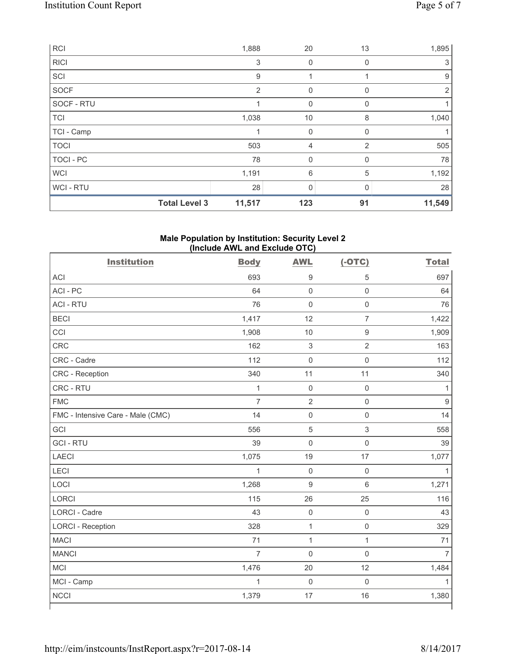| RCI         |                      | 1,888          | 20           | 13             | 1,895  |
|-------------|----------------------|----------------|--------------|----------------|--------|
| <b>RICI</b> |                      | 3              | $\mathbf 0$  | 0              | 3      |
| SCI         |                      | 9              | 1            |                | 9      |
| <b>SOCF</b> |                      | $\overline{2}$ | 0            | 0              | 2      |
| SOCF - RTU  |                      | 1              | $\mathbf 0$  | 0              |        |
| <b>TCI</b>  |                      | 1,038          | $10$         | 8              | 1,040  |
| TCI - Camp  |                      |                | $\mathbf 0$  | O              |        |
| <b>TOCI</b> |                      | 503            | 4            | $\overline{2}$ | 505    |
| TOCI - PC   |                      | 78             | 0            | 0              | 78     |
| <b>WCI</b>  |                      | 1,191          | 6            | 5              | 1,192  |
| WCI - RTU   |                      | 28             | $\mathbf{0}$ | <sup>0</sup>   | 28     |
|             | <b>Total Level 3</b> | 11,517         | 123          | 91             | 11,549 |

#### **Male Population by Institution: Security Level 2 (Include AWL and Exclude OTC)**

| <b>ACI</b><br>693<br>9<br>5<br>ACI-PC<br>$\mathbf 0$<br>$\mathbf 0$<br>64<br><b>ACI - RTU</b><br>76<br>$\mathbf 0$<br>$\mathsf 0$<br><b>BECI</b><br>1,417<br>12<br>$\overline{7}$<br>CCI<br>$\boldsymbol{9}$<br>1,908<br>10<br>CRC<br>$\ensuremath{\mathsf{3}}$<br>$\sqrt{2}$<br>162<br>$\mathsf{O}\xspace$<br>CRC - Cadre<br>112<br>$\mathsf 0$<br>340<br>11<br>11<br>CRC - Reception<br>CRC - RTU<br>$\mathbf{1}$<br>$\mathbf 0$<br>$\mathsf 0$<br>$\sqrt{2}$<br><b>FMC</b><br>$\overline{7}$<br>$\mathsf 0$<br>14<br>$\mathsf{O}\xspace$<br>FMC - Intensive Care - Male (CMC)<br>$\mathsf 0$<br>GCI<br>$\sqrt{5}$<br>3<br>556<br><b>GCI-RTU</b><br>39<br>$\mathbf 0$<br>$\mathsf{O}\xspace$<br><b>LAECI</b><br>1,075<br>19<br>17<br>LECI<br>$\mathbf{1}$<br>$\mathsf{O}\xspace$<br>$\mathsf 0$<br>LOCI<br>1,268<br>$\boldsymbol{9}$<br>$6\,$<br>LORCI<br>115<br>26<br>25<br><b>LORCI - Cadre</b><br>43<br>$\mathsf{O}\xspace$<br>$\mathsf 0$<br>$\mathbf{1}$<br><b>LORCI - Reception</b><br>328<br>$\mathsf 0$<br>$\mathbf{1}$<br><b>MACI</b><br>71<br>$\mathbf{1}$<br><b>MANCI</b><br>$\overline{7}$<br>$\mathbf 0$<br>$\mathsf 0$<br><b>MCI</b><br>1,476<br>20<br>12<br>MCI - Camp<br>$\mathbf{1}$<br>$\mathbf 0$<br>$\mathbf 0$ | <b>Institution</b> | <b>Body</b> | <b>AWL</b> | $(-OTC)$ | <b>Total</b>   |
|---------------------------------------------------------------------------------------------------------------------------------------------------------------------------------------------------------------------------------------------------------------------------------------------------------------------------------------------------------------------------------------------------------------------------------------------------------------------------------------------------------------------------------------------------------------------------------------------------------------------------------------------------------------------------------------------------------------------------------------------------------------------------------------------------------------------------------------------------------------------------------------------------------------------------------------------------------------------------------------------------------------------------------------------------------------------------------------------------------------------------------------------------------------------------------------------------------------------------------------|--------------------|-------------|------------|----------|----------------|
|                                                                                                                                                                                                                                                                                                                                                                                                                                                                                                                                                                                                                                                                                                                                                                                                                                                                                                                                                                                                                                                                                                                                                                                                                                       |                    |             |            |          | 697            |
|                                                                                                                                                                                                                                                                                                                                                                                                                                                                                                                                                                                                                                                                                                                                                                                                                                                                                                                                                                                                                                                                                                                                                                                                                                       |                    |             |            |          | 64             |
|                                                                                                                                                                                                                                                                                                                                                                                                                                                                                                                                                                                                                                                                                                                                                                                                                                                                                                                                                                                                                                                                                                                                                                                                                                       |                    |             |            |          | 76             |
|                                                                                                                                                                                                                                                                                                                                                                                                                                                                                                                                                                                                                                                                                                                                                                                                                                                                                                                                                                                                                                                                                                                                                                                                                                       |                    |             |            |          | 1,422          |
|                                                                                                                                                                                                                                                                                                                                                                                                                                                                                                                                                                                                                                                                                                                                                                                                                                                                                                                                                                                                                                                                                                                                                                                                                                       |                    |             |            |          | 1,909          |
|                                                                                                                                                                                                                                                                                                                                                                                                                                                                                                                                                                                                                                                                                                                                                                                                                                                                                                                                                                                                                                                                                                                                                                                                                                       |                    |             |            |          | 163            |
|                                                                                                                                                                                                                                                                                                                                                                                                                                                                                                                                                                                                                                                                                                                                                                                                                                                                                                                                                                                                                                                                                                                                                                                                                                       |                    |             |            |          | 112            |
|                                                                                                                                                                                                                                                                                                                                                                                                                                                                                                                                                                                                                                                                                                                                                                                                                                                                                                                                                                                                                                                                                                                                                                                                                                       |                    |             |            |          | 340            |
|                                                                                                                                                                                                                                                                                                                                                                                                                                                                                                                                                                                                                                                                                                                                                                                                                                                                                                                                                                                                                                                                                                                                                                                                                                       |                    |             |            |          | 1              |
|                                                                                                                                                                                                                                                                                                                                                                                                                                                                                                                                                                                                                                                                                                                                                                                                                                                                                                                                                                                                                                                                                                                                                                                                                                       |                    |             |            |          | 9              |
|                                                                                                                                                                                                                                                                                                                                                                                                                                                                                                                                                                                                                                                                                                                                                                                                                                                                                                                                                                                                                                                                                                                                                                                                                                       |                    |             |            |          | 14             |
|                                                                                                                                                                                                                                                                                                                                                                                                                                                                                                                                                                                                                                                                                                                                                                                                                                                                                                                                                                                                                                                                                                                                                                                                                                       |                    |             |            |          | 558            |
|                                                                                                                                                                                                                                                                                                                                                                                                                                                                                                                                                                                                                                                                                                                                                                                                                                                                                                                                                                                                                                                                                                                                                                                                                                       |                    |             |            |          | 39             |
|                                                                                                                                                                                                                                                                                                                                                                                                                                                                                                                                                                                                                                                                                                                                                                                                                                                                                                                                                                                                                                                                                                                                                                                                                                       |                    |             |            |          | 1,077          |
|                                                                                                                                                                                                                                                                                                                                                                                                                                                                                                                                                                                                                                                                                                                                                                                                                                                                                                                                                                                                                                                                                                                                                                                                                                       |                    |             |            |          | 1              |
|                                                                                                                                                                                                                                                                                                                                                                                                                                                                                                                                                                                                                                                                                                                                                                                                                                                                                                                                                                                                                                                                                                                                                                                                                                       |                    |             |            |          | 1,271          |
|                                                                                                                                                                                                                                                                                                                                                                                                                                                                                                                                                                                                                                                                                                                                                                                                                                                                                                                                                                                                                                                                                                                                                                                                                                       |                    |             |            |          | 116            |
|                                                                                                                                                                                                                                                                                                                                                                                                                                                                                                                                                                                                                                                                                                                                                                                                                                                                                                                                                                                                                                                                                                                                                                                                                                       |                    |             |            |          | 43             |
|                                                                                                                                                                                                                                                                                                                                                                                                                                                                                                                                                                                                                                                                                                                                                                                                                                                                                                                                                                                                                                                                                                                                                                                                                                       |                    |             |            |          | 329            |
|                                                                                                                                                                                                                                                                                                                                                                                                                                                                                                                                                                                                                                                                                                                                                                                                                                                                                                                                                                                                                                                                                                                                                                                                                                       |                    |             |            |          | 71             |
|                                                                                                                                                                                                                                                                                                                                                                                                                                                                                                                                                                                                                                                                                                                                                                                                                                                                                                                                                                                                                                                                                                                                                                                                                                       |                    |             |            |          | $\overline{7}$ |
|                                                                                                                                                                                                                                                                                                                                                                                                                                                                                                                                                                                                                                                                                                                                                                                                                                                                                                                                                                                                                                                                                                                                                                                                                                       |                    |             |            |          | 1,484          |
|                                                                                                                                                                                                                                                                                                                                                                                                                                                                                                                                                                                                                                                                                                                                                                                                                                                                                                                                                                                                                                                                                                                                                                                                                                       |                    |             |            |          | $\mathbf{1}$   |
|                                                                                                                                                                                                                                                                                                                                                                                                                                                                                                                                                                                                                                                                                                                                                                                                                                                                                                                                                                                                                                                                                                                                                                                                                                       | <b>NCCI</b>        | 1,379       | 17         | 16       | 1,380          |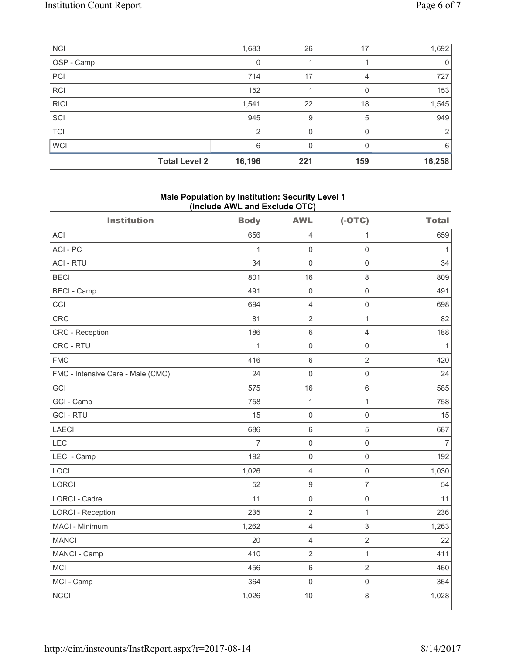| <b>NCI</b>  | 1,683                          | 26       | 17           | 1,692       |
|-------------|--------------------------------|----------|--------------|-------------|
| OSP - Camp  | 0                              |          |              | $\mathbf 0$ |
| PCI         | 714                            | 17       | 4            | 727         |
| <b>RCI</b>  | 152                            |          |              | 153         |
| <b>RICI</b> | 1,541                          | 22       | 18           | 1,545       |
| SCI         | 945                            | 9        | 5            | 949         |
| <b>TCI</b>  | $\mathcal{P}$                  | $\Omega$ | <sup>0</sup> | 2           |
| <b>WCI</b>  | 6                              | U        |              | 6           |
|             | <b>Total Level 2</b><br>16,196 | 221      | 159          | 16,258      |

# **Male Population by Institution: Security Level 1 (Include AWL and Exclude OTC)**

| <b>Institution</b>                | <b>Body</b>    | <b>AWL</b>          | $(-OTC)$            | <b>Total</b>   |
|-----------------------------------|----------------|---------------------|---------------------|----------------|
| <b>ACI</b>                        | 656            | $\overline{4}$      | $\mathbf{1}$        | 659            |
| ACI-PC                            | $\overline{1}$ | $\mathsf{O}\xspace$ | $\mathsf{O}\xspace$ | $\mathbf{1}$   |
| <b>ACI - RTU</b>                  | 34             | $\mathbf 0$         | $\mathbf 0$         | 34             |
| <b>BECI</b>                       | 801            | 16                  | $\,8\,$             | 809            |
| <b>BECI - Camp</b>                | 491            | $\mathbf 0$         | $\mathbf 0$         | 491            |
| CCI                               | 694            | $\overline{4}$      | $\mathsf{O}\xspace$ | 698            |
| <b>CRC</b>                        | 81             | $\overline{2}$      | $\mathbf{1}$        | 82             |
| CRC - Reception                   | 186            | $\,6\,$             | $\overline{4}$      | 188            |
| CRC - RTU                         | 1              | $\mathsf{O}\xspace$ | $\mathbf 0$         | 1              |
| <b>FMC</b>                        | 416            | $6\phantom{1}$      | $\overline{2}$      | 420            |
| FMC - Intensive Care - Male (CMC) | 24             | $\mathbf 0$         | $\mathsf 0$         | 24             |
| GCI                               | 575            | 16                  | $\,6\,$             | 585            |
| GCI - Camp                        | 758            | $\mathbf{1}$        | $\mathbf{1}$        | 758            |
| <b>GCI-RTU</b>                    | 15             | $\mathsf 0$         | $\mathsf 0$         | 15             |
| <b>LAECI</b>                      | 686            | $\,6\,$             | $\sqrt{5}$          | 687            |
| LECI                              | $\overline{7}$ | $\mathsf{O}\xspace$ | $\mathsf{O}\xspace$ | $\overline{7}$ |
| LECI - Camp                       | 192            | $\mathsf{O}\xspace$ | $\mathsf{O}\xspace$ | 192            |
| LOCI                              | 1,026          | $\overline{4}$      | $\mathsf 0$         | 1,030          |
| <b>LORCI</b>                      | 52             | $\boldsymbol{9}$    | $\overline{7}$      | 54             |
| <b>LORCI - Cadre</b>              | 11             | $\mathbf 0$         | $\mathsf 0$         | 11             |
| <b>LORCI - Reception</b>          | 235            | $\overline{2}$      | $\mathbf{1}$        | 236            |
| MACI - Minimum                    | 1,262          | $\overline{4}$      | $\mathsf 3$         | 1,263          |
| <b>MANCI</b>                      | 20             | $\overline{4}$      | $\overline{2}$      | 22             |
| MANCI - Camp                      | 410            | $\overline{2}$      | $\mathbf{1}$        | 411            |
| <b>MCI</b>                        | 456            | $\,6\,$             | $\overline{2}$      | 460            |
| MCI - Camp                        | 364            | $\mathbf 0$         | $\mathsf{O}\xspace$ | 364            |
| <b>NCCI</b>                       | 1,026          | 10                  | 8                   | 1,028          |
|                                   |                |                     |                     |                |